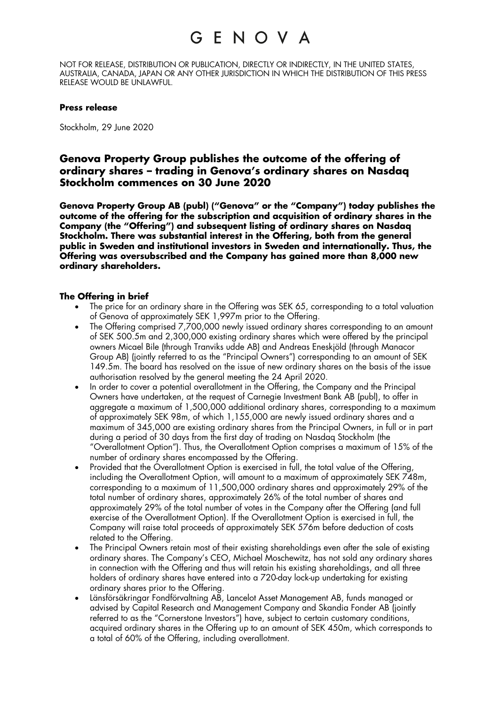## G E N O V A

NOT FOR RELEASE, DISTRIBUTION OR PUBLICATION, DIRECTLY OR INDIRECTLY, IN THE UNITED STATES, AUSTRALIA, CANADA, JAPAN OR ANY OTHER JURISDICTION IN WHICH THE DISTRIBUTION OF THIS PRESS RELEASE WOULD BE UNLAWFUL.

### **Press release**

Stockholm, 29 June 2020

### **Genova Property Group publishes the outcome of the offering of ordinary shares – trading in Genova's ordinary shares on Nasdaq Stockholm commences on 30 June 2020**

**Genova Property Group AB (publ) ("Genova" or the "Company") today publishes the outcome of the offering for the subscription and acquisition of ordinary shares in the Company (the "Offering") and subsequent listing of ordinary shares on Nasdaq Stockholm. There was substantial interest in the Offering, both from the general public in Sweden and institutional investors in Sweden and internationally. Thus, the Offering was oversubscribed and the Company has gained more than 8,000 new ordinary shareholders.**

### **The Offering in brief**

- The price for an ordinary share in the Offering was SEK 65, corresponding to a total valuation of Genova of approximately SEK 1,997m prior to the Offering.
- The Offering comprised 7,700,000 newly issued ordinary shares corresponding to an amount of SEK 500.5m and 2,300,000 existing ordinary shares which were offered by the principal owners Micael Bile (through Tranviks udde AB) and Andreas Eneskjöld (through Manacor Group AB) (jointly referred to as the "Principal Owners") corresponding to an amount of SEK 149.5m. The board has resolved on the issue of new ordinary shares on the basis of the issue authorisation resolved by the general meeting the 24 April 2020.
- In order to cover a potential overallotment in the Offering, the Company and the Principal Owners have undertaken, at the request of Carnegie Investment Bank AB (publ), to offer in aggregate a maximum of 1,500,000 additional ordinary shares, corresponding to a maximum of approximately SEK 98m, of which 1,155,000 are newly issued ordinary shares and a maximum of 345,000 are existing ordinary shares from the Principal Owners, in full or in part during a period of 30 days from the first day of trading on Nasdaq Stockholm (the "Overallotment Option"). Thus, the Overallotment Option comprises a maximum of 15% of the number of ordinary shares encompassed by the Offering.
- Provided that the Overallotment Option is exercised in full, the total value of the Offering, including the Overallotment Option, will amount to a maximum of approximately SEK 748m, corresponding to a maximum of 11,500,000 ordinary shares and approximately 29% of the total number of ordinary shares, approximately 26% of the total number of shares and approximately 29% of the total number of votes in the Company after the Offering (and full exercise of the Overallotment Option). If the Overallotment Option is exercised in full, the Company will raise total proceeds of approximately SEK 576m before deduction of costs related to the Offering.
- The Principal Owners retain most of their existing shareholdings even after the sale of existing ordinary shares. The Company's CEO, Michael Moschewitz, has not sold any ordinary shares in connection with the Offering and thus will retain his existing shareholdings, and all three holders of ordinary shares have entered into a 720-day lock-up undertaking for existing ordinary shares prior to the Offering.
- Länsförsäkringar Fondförvaltning AB, Lancelot Asset Management AB, funds managed or advised by Capital Research and Management Company and Skandia Fonder AB (jointly referred to as the "Cornerstone Investors") have, subject to certain customary conditions, acquired ordinary shares in the Offering up to an amount of SEK 450m, which corresponds to a total of 60% of the Offering, including overallotment.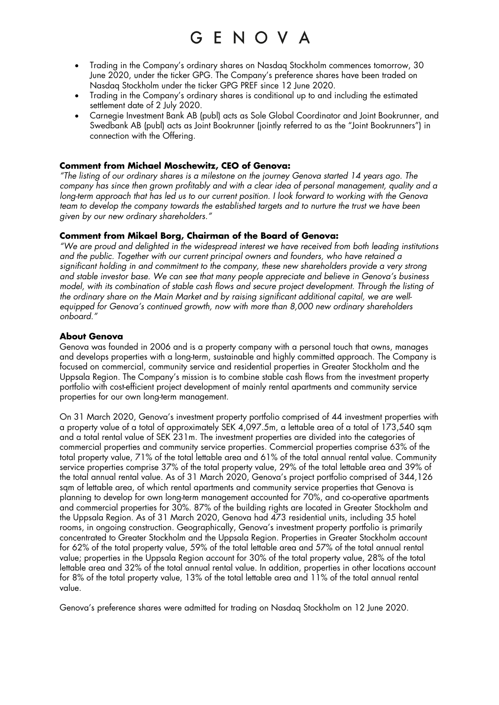# GENOVA

- Trading in the Company's ordinary shares on Nasdaq Stockholm commences tomorrow, 30 June 2020, under the ticker GPG. The Company's preference shares have been traded on Nasdaq Stockholm under the ticker GPG PREF since 12 June 2020.
- Trading in the Company's ordinary shares is conditional up to and including the estimated settlement date of 2 July 2020.
- Carnegie Investment Bank AB (publ) acts as Sole Global Coordinator and Joint Bookrunner, and Swedbank AB (publ) acts as Joint Bookrunner (jointly referred to as the "Joint Bookrunners") in connection with the Offering.

### **Comment from Michael Moschewitz, CEO of Genova:**

*"The listing of our ordinary shares is a milestone on the journey Genova started 14 years ago. The company has since then grown profitably and with a clear idea of personal management, quality and a long-term approach that has led us to our current position. I look forward to working with the Genova team to develop the company towards the established targets and to nurture the trust we have been given by our new ordinary shareholders."*

### **Comment from Mikael Borg, Chairman of the Board of Genova:**

*"We are proud and delighted in the widespread interest we have received from both leading institutions and the public. Together with our current principal owners and founders, who have retained a significant holding in and commitment to the company, these new shareholders provide a very strong and stable investor base. We can see that many people appreciate and believe in Genova's business model, with its combination of stable cash flows and secure project development. Through the listing of the ordinary share on the Main Market and by raising significant additional capital, we are wellequipped for Genova's continued growth, now with more than 8,000 new ordinary shareholders onboard."*

### **About Genova**

Genova was founded in 2006 and is a property company with a personal touch that owns, manages and develops properties with a long-term, sustainable and highly committed approach. The Company is focused on commercial, community service and residential properties in Greater Stockholm and the Uppsala Region. The Company's mission is to combine stable cash flows from the investment property portfolio with cost-efficient project development of mainly rental apartments and community service properties for our own long-term management.

On 31 March 2020, Genova's investment property portfolio comprised of 44 investment properties with a property value of a total of approximately SEK 4,097.5m, a lettable area of a total of 173,540 sqm and a total rental value of SEK 231m. The investment properties are divided into the categories of commercial properties and community service properties. Commercial properties comprise 63% of the total property value, 71% of the total lettable area and 61% of the total annual rental value. Community service properties comprise 37% of the total property value, 29% of the total lettable area and 39% of the total annual rental value. As of 31 March 2020, Genova's project portfolio comprised of 344,126 sqm of lettable area, of which rental apartments and community service properties that Genova is planning to develop for own long-term management accounted for 70%, and co-operative apartments and commercial properties for 30%. 87% of the building rights are located in Greater Stockholm and the Uppsala Region. As of 31 March 2020, Genova had 473 residential units, including 35 hotel rooms, in ongoing construction. Geographically, Genova's investment property portfolio is primarily concentrated to Greater Stockholm and the Uppsala Region. Properties in Greater Stockholm account for 62% of the total property value, 59% of the total lettable area and 57% of the total annual rental value; properties in the Uppsala Region account for 30% of the total property value, 28% of the total lettable area and 32% of the total annual rental value. In addition, properties in other locations account for 8% of the total property value, 13% of the total lettable area and 11% of the total annual rental value.

Genova's preference shares were admitted for trading on Nasdaq Stockholm on 12 June 2020.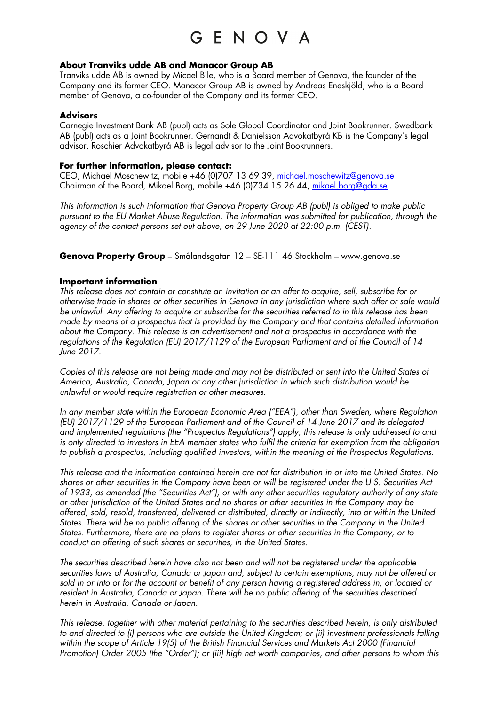# GENOVA

### **About Tranviks udde AB and Manacor Group AB**

Tranviks udde AB is owned by Micael Bile, who is a Board member of Genova, the founder of the Company and its former CEO. Manacor Group AB is owned by Andreas Eneskjöld, who is a Board member of Genova, a co-founder of the Company and its former CEO.

### **Advisors**

Carnegie Investment Bank AB (publ) acts as Sole Global Coordinator and Joint Bookrunner. Swedbank AB (publ) acts as a Joint Bookrunner. Gernandt & Danielsson Advokatbyrå KB is the Company's legal advisor. Roschier Advokatbyrå AB is legal advisor to the Joint Bookrunners.

### **For further information, please contact:**

CEO, Michael Moschewitz, mobile +46 (0)707 13 69 39, michael.moschewitz@genova.se Chairman of the Board, Mikael Borg, mobile +46 (0)734 15 26 44, mikael.borg@gda.se

*This information is such information that Genova Property Group AB (publ) is obliged to make public pursuant to the EU Market Abuse Regulation. The information was submitted for publication, through the agency of the contact persons set out above, on 29 June 2020 at 22:00 p.m. (CEST).*

**Genova Property Group** – Smålandsgatan 12 – SE-111 46 Stockholm – www.genova.se

### **Important information**

*This release does not contain or constitute an invitation or an offer to acquire, sell, subscribe for or otherwise trade in shares or other securities in Genova in any jurisdiction where such offer or sale would be unlawful. Any offering to acquire or subscribe for the securities referred to in this release has been made by means of a prospectus that is provided by the Company and that contains detailed information about the Company. This release is an advertisement and not a prospectus in accordance with the regulations of the Regulation (EU) 2017/1129 of the European Parliament and of the Council of 14 June 2017.*

*Copies of this release are not being made and may not be distributed or sent into the United States of America, Australia, Canada, Japan or any other jurisdiction in which such distribution would be unlawful or would require registration or other measures.*

*In any member state within the European Economic Area ("EEA"), other than Sweden, where Regulation (EU) 2017/1129 of the European Parliament and of the Council of 14 June 2017 and its delegated and implemented regulations (the "Prospectus Regulations") apply, this release is only addressed to and is only directed to investors in EEA member states who fulfil the criteria for exemption from the obligation to publish a prospectus, including qualified investors, within the meaning of the Prospectus Regulations.*

*This release and the information contained herein are not for distribution in or into the United States. No shares or other securities in the Company have been or will be registered under the U.S. Securities Act of 1933, as amended (the "Securities Act"), or with any other securities regulatory authority of any state or other jurisdiction of the United States and no shares or other securities in the Company may be offered, sold, resold, transferred, delivered or distributed, directly or indirectly, into or within the United States. There will be no public offering of the shares or other securities in the Company in the United States. Furthermore, there are no plans to register shares or other securities in the Company, or to conduct an offering of such shares or securities, in the United States.*

*The securities described herein have also not been and will not be registered under the applicable securities laws of Australia, Canada or Japan and, subject to certain exemptions, may not be offered or sold in or into or for the account or benefit of any person having a registered address in, or located or resident in Australia, Canada or Japan. There will be no public offering of the securities described herein in Australia, Canada or Japan.*

*This release, together with other material pertaining to the securities described herein, is only distributed to and directed to (i) persons who are outside the United Kingdom; or (ii) investment professionals falling within the scope of Article 19(5) of the British Financial Services and Markets Act 2000 (Financial Promotion) Order 2005 (the "Order"); or (iii) high net worth companies, and other persons to whom this*